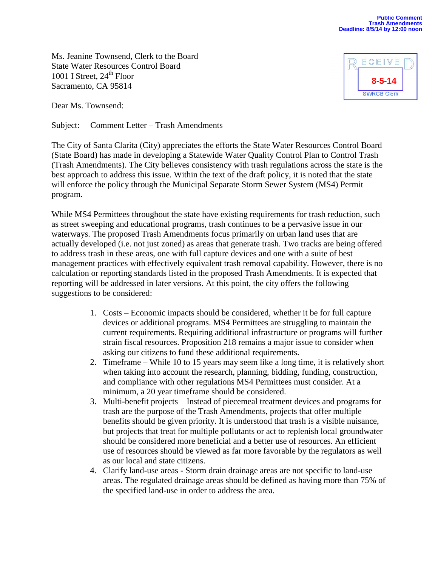Ms. Jeanine Townsend, Clerk to the Board State Water Resources Control Board 1001 I Street,  $24<sup>th</sup>$  Floor Sacramento, CA 95814

Dear Ms. Townsend:

Subject: Comment Letter – Trash Amendments

The City of Santa Clarita (City) appreciates the efforts the State Water Resources Control Board (State Board) has made in developing a Statewide Water Quality Control Plan to Control Trash (Trash Amendments). The City believes consistency with trash regulations across the state is the best approach to address this issue. Within the text of the draft policy, it is noted that the state will enforce the policy through the Municipal Separate Storm Sewer System (MS4) Permit program.

While MS4 Permittees throughout the state have existing requirements for trash reduction, such as street sweeping and educational programs, trash continues to be a pervasive issue in our waterways. The proposed Trash Amendments focus primarily on urban land uses that are actually developed (i.e. not just zoned) as areas that generate trash. Two tracks are being offered to address trash in these areas, one with full capture devices and one with a suite of best management practices with effectively equivalent trash removal capability. However, there is no calculation or reporting standards listed in the proposed Trash Amendments. It is expected that reporting will be addressed in later versions. At this point, the city offers the following suggestions to be considered:

- 1. Costs Economic impacts should be considered, whether it be for full capture devices or additional programs. MS4 Permittees are struggling to maintain the current requirements. Requiring additional infrastructure or programs will further strain fiscal resources. Proposition 218 remains a major issue to consider when asking our citizens to fund these additional requirements.
- 2. Timeframe While 10 to 15 years may seem like a long time, it is relatively short when taking into account the research, planning, bidding, funding, construction, and compliance with other regulations MS4 Permittees must consider. At a minimum, a 20 year timeframe should be considered.
- 3. Multi-benefit projects Instead of piecemeal treatment devices and programs for trash are the purpose of the Trash Amendments, projects that offer multiple benefits should be given priority. It is understood that trash is a visible nuisance, but projects that treat for multiple pollutants or act to replenish local groundwater should be considered more beneficial and a better use of resources. An efficient use of resources should be viewed as far more favorable by the regulators as well as our local and state citizens.
- 4. Clarify land-use areas Storm drain drainage areas are not specific to land-use areas. The regulated drainage areas should be defined as having more than 75% of the specified land-use in order to address the area.